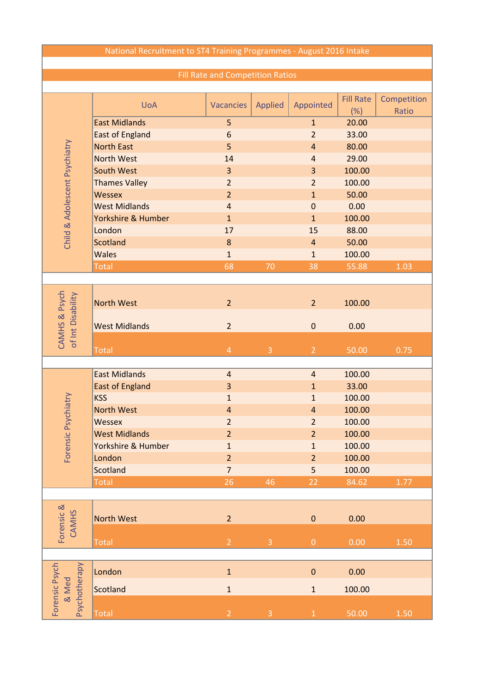## National Recruitment to ST4 Training Programmes - August 2016 Intake

## Fill Rate and Competition Ratios

|                                          | <b>UoA</b>             | <b>Vacancies</b> |                |                  | <b>Fill Rate</b> | Competition |
|------------------------------------------|------------------------|------------------|----------------|------------------|------------------|-------------|
| Child & Adolescent Psychiatry            |                        |                  | <b>Applied</b> | Appointed        | (%)              | Ratio       |
|                                          | <b>East Midlands</b>   | 5                |                | $\mathbf{1}$     | 20.00            |             |
|                                          | <b>East of England</b> | $6\phantom{1}6$  |                | $\overline{2}$   | 33.00            |             |
|                                          | <b>North East</b>      | 5                |                | $\overline{4}$   | 80.00            |             |
|                                          | <b>North West</b>      | 14               |                | $\overline{4}$   | 29.00            |             |
|                                          | <b>South West</b>      | $\overline{3}$   |                | $\overline{3}$   | 100.00           |             |
|                                          | <b>Thames Valley</b>   | $\overline{2}$   |                | $\overline{2}$   | 100.00           |             |
|                                          | <b>Wessex</b>          | $\overline{2}$   |                | $\mathbf{1}$     | 50.00            |             |
|                                          | <b>West Midlands</b>   | $\overline{4}$   |                | $\mathbf 0$      | 0.00             |             |
|                                          | Yorkshire & Humber     | $\mathbf{1}$     |                | $\mathbf{1}$     | 100.00           |             |
|                                          | London                 | 17               |                | 15               | 88.00            |             |
|                                          | <b>Scotland</b>        | $\bf 8$          |                | $\overline{4}$   | 50.00            |             |
|                                          | <b>Wales</b>           | $\mathbf{1}$     |                | $\mathbf{1}$     | 100.00           |             |
|                                          | <b>Total</b>           | 68               | 70             | 38               | 55.88            | 1.03        |
|                                          |                        |                  |                |                  |                  |             |
|                                          |                        |                  |                |                  |                  |             |
|                                          | <b>North West</b>      |                  |                |                  |                  |             |
|                                          |                        | $\overline{2}$   |                | $\overline{2}$   | 100.00           |             |
| of Int Disability                        |                        |                  |                |                  |                  |             |
|                                          | <b>West Midlands</b>   | $\overline{2}$   |                | $\mathbf 0$      | 0.00             |             |
| <b>CAMHS &amp; Psych</b>                 |                        |                  |                |                  |                  |             |
|                                          | <b>Total</b>           | $\overline{4}$   | $\overline{3}$ | $\overline{2}$   | 50.00            | 0.75        |
|                                          |                        |                  |                |                  |                  |             |
|                                          | <b>East Midlands</b>   | $\overline{a}$   |                | $\overline{a}$   | 100.00           |             |
|                                          | <b>East of England</b> | $\overline{3}$   |                | $\mathbf{1}$     | 33.00            |             |
|                                          | <b>KSS</b>             | $\mathbf{1}$     |                | $\mathbf{1}$     | 100.00           |             |
|                                          | <b>North West</b>      | $\overline{a}$   |                | $\overline{a}$   | 100.00           |             |
| ensic Psychiatry                         | <b>Wessex</b>          | $\overline{2}$   |                | $\overline{2}$   | 100.00           |             |
|                                          | <b>West Midlands</b>   | $\overline{2}$   |                | $\overline{2}$   | 100.00           |             |
|                                          | Yorkshire & Humber     | $\mathbf 1$      |                | $\mathbf{1}$     | 100.00           |             |
| For                                      | London                 | $\overline{2}$   |                | $\overline{2}$   | 100.00           |             |
|                                          | Scotland               | $\overline{7}$   |                | 5                | 100.00           |             |
|                                          | Total                  | 26               | 46             | 22               | 84.62            | $1.77\,$    |
|                                          |                        |                  |                |                  |                  |             |
|                                          |                        |                  |                |                  |                  |             |
| Forensic &<br><b>CAMHS</b>               | <b>North West</b>      | $\overline{2}$   |                | $\pmb{0}$        | 0.00             |             |
|                                          |                        |                  |                |                  |                  |             |
|                                          | <b>Total</b>           | $\overline{2}$   | $\mathsf 3$    | $\boldsymbol{0}$ | 0.00             | 1.50        |
|                                          |                        |                  |                |                  |                  |             |
| Forensic Psych<br>Psychotherapy<br>& Med |                        |                  |                |                  |                  |             |
|                                          | London                 | $\mathbf 1$      |                | $\pmb{0}$        | 0.00             |             |
|                                          | Scotland               | $\mathbf 1$      |                | $\mathbf 1$      | 100.00           |             |
|                                          |                        |                  |                |                  |                  |             |
|                                          | <b>Total</b>           | $\overline{2}$   | $\overline{3}$ | $\mathbf 1$      | 50.00            | 1.50        |
|                                          |                        |                  |                |                  |                  |             |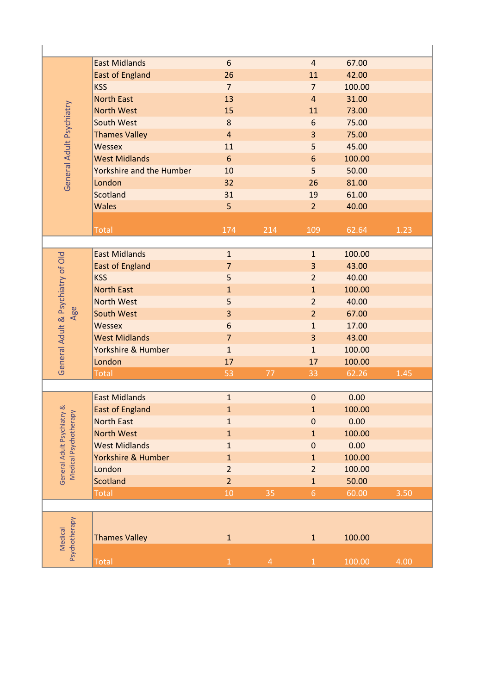| General Adult Psychiatry                                        | <b>East Midlands</b>     | 6              |                | $\overline{4}$   | 67.00  |      |
|-----------------------------------------------------------------|--------------------------|----------------|----------------|------------------|--------|------|
|                                                                 | <b>East of England</b>   | 26             |                | 11               | 42.00  |      |
|                                                                 | <b>KSS</b>               | $\overline{7}$ |                | $\overline{7}$   | 100.00 |      |
|                                                                 | <b>North East</b>        | 13             |                | $\overline{4}$   | 31.00  |      |
|                                                                 | <b>North West</b>        | 15             |                | 11               | 73.00  |      |
|                                                                 | South West               | 8              |                | 6                | 75.00  |      |
|                                                                 | <b>Thames Valley</b>     | $\overline{4}$ |                | 3                | 75.00  |      |
|                                                                 | <b>Wessex</b>            | 11             |                | 5                | 45.00  |      |
|                                                                 | <b>West Midlands</b>     | 6              |                | $6\phantom{1}6$  | 100.00 |      |
|                                                                 | Yorkshire and the Humber | 10             |                | 5                | 50.00  |      |
|                                                                 | London                   | 32             |                | 26               | 81.00  |      |
|                                                                 | <b>Scotland</b>          | 31             |                | 19               | 61.00  |      |
|                                                                 | <b>Wales</b>             | 5              |                | $\overline{2}$   | 40.00  |      |
|                                                                 |                          |                |                |                  |        |      |
|                                                                 | <b>Total</b>             | 174            | 214            | 109              | 62.64  | 1.23 |
|                                                                 |                          |                |                |                  |        |      |
|                                                                 | <b>East Midlands</b>     | $\mathbf{1}$   |                | $\mathbf{1}$     | 100.00 |      |
|                                                                 | <b>East of England</b>   | $\overline{7}$ |                | 3                | 43.00  |      |
|                                                                 | <b>KSS</b>               | 5              |                | $\overline{2}$   | 40.00  |      |
| General Adult & Psychiatry of Old                               | <b>North East</b>        | $\mathbf{1}$   |                | $\mathbf{1}$     | 100.00 |      |
|                                                                 | <b>North West</b>        | 5              |                | $\overline{2}$   | 40.00  |      |
| Age                                                             | <b>South West</b>        | 3              |                | $\overline{2}$   | 67.00  |      |
|                                                                 | <b>Wessex</b>            | 6              |                | $\mathbf{1}$     | 17.00  |      |
|                                                                 | <b>West Midlands</b>     | $\overline{7}$ |                | 3                | 43.00  |      |
|                                                                 | Yorkshire & Humber       | $\mathbf{1}$   |                | $\mathbf{1}$     | 100.00 |      |
|                                                                 | London                   | 17             |                | 17               | 100.00 |      |
|                                                                 | <b>Total</b>             | 53             | 77             | 33               | 62.26  | 1.45 |
|                                                                 |                          |                |                |                  |        |      |
|                                                                 | <b>East Midlands</b>     | $\mathbf{1}$   |                | $\boldsymbol{0}$ | 0.00   |      |
| ry &<br>$\geq$<br>General Adult Psychiat<br>Medical Psychothera | <b>East of England</b>   | $\mathbf{1}$   |                | $\mathbf{1}$     | 100.00 |      |
|                                                                 | <b>North East</b>        | $\mathbf 1$    |                | $\pmb{0}$        | 0.00   |      |
|                                                                 | <b>North West</b>        | $\mathbf{1}$   |                | $\mathbf{1}$     | 100.00 |      |
|                                                                 | <b>West Midlands</b>     | $\mathbf{1}$   |                | $\boldsymbol{0}$ | 0.00   |      |
|                                                                 | Yorkshire & Humber       | $\mathbf{1}$   |                | $\mathbf 1$      | 100.00 |      |
|                                                                 | London                   | $\overline{2}$ |                | $\overline{2}$   | 100.00 |      |
|                                                                 | <b>Scotland</b>          | $\overline{2}$ |                | $\mathbf{1}$     | 50.00  |      |
|                                                                 | <b>Total</b>             | 10             | 35             | $6 \overline{6}$ | 60.00  | 3.50 |
|                                                                 |                          |                |                |                  |        |      |
|                                                                 |                          |                |                |                  |        |      |
| Psychotherapy<br>Medical                                        |                          |                |                |                  |        |      |
|                                                                 | <b>Thames Valley</b>     | $\mathbf 1$    |                | $\mathbf 1$      | 100.00 |      |
|                                                                 |                          |                |                |                  |        |      |
|                                                                 | Total                    | $\mathbf 1$    | $\overline{4}$ | $\,1\,$          | 100.00 | 4.00 |